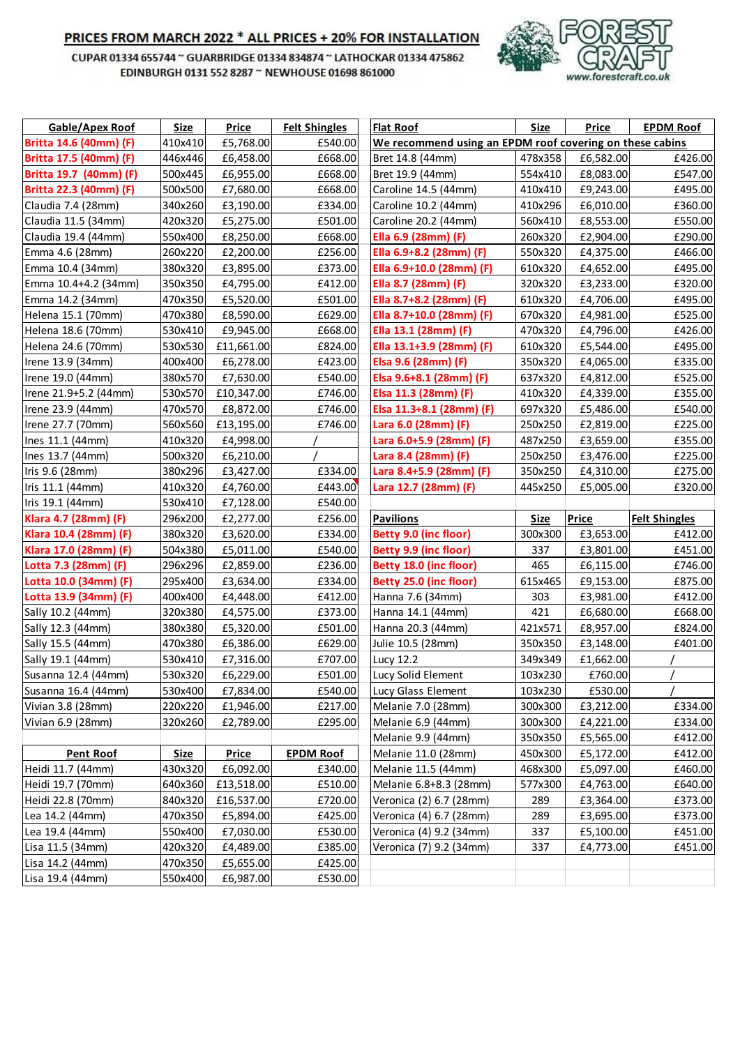## PRICES FROM MARCH 2022 \* ALL PRICES + 20% FOR INSTALLATION

CUPAR 01334 655744 ~ GUARBRIDGE 01334 834874 ~ LATHOCKAR 01334 475862 EDINBURGH 0131 552 8287 ~ NEWHOUSE 01698 861000



| Gable/Apex Roof                      | <b>Size</b>        | <b>Price</b>           | <b>Felt Shingles</b> | <b>Flat Roof</b>                                         | <b>Size</b> | <b>Price</b> | <b>EPDM Roof</b>     |  |
|--------------------------------------|--------------------|------------------------|----------------------|----------------------------------------------------------|-------------|--------------|----------------------|--|
| Britta 14.6 (40mm) (F)               | 410x410            | £5,768.00              | £540.00              | We recommend using an EPDM roof covering on these cabins |             |              |                      |  |
| Britta 17.5 (40mm) (F)               | 446x446            | £6,458.00              | £668.00              | Bret 14.8 (44mm)                                         | 478x358     | £6,582.00    | £426.00              |  |
| Britta 19.7 (40mm) (F)               | 500x445            | £6,955.00              | £668.00              | Bret 19.9 (44mm)                                         | 554x410     | £8,083.00    | £547.00              |  |
| Britta 22.3 (40mm) (F)               | 500x500            | £7,680.00              | £668.00              | Caroline 14.5 (44mm)                                     | 410x410     | £9,243.00    | £495.00              |  |
| Claudia 7.4 (28mm)                   | 340x260            | £3,190.00              | £334.00              | Caroline 10.2 (44mm)                                     | 410x296     | £6,010.00    | £360.00              |  |
| Claudia 11.5 (34mm)                  | 420x320            | £5,275.00              | £501.00              | Caroline 20.2 (44mm)                                     | 560x410     | £8,553.00    | £550.00              |  |
| Claudia 19.4 (44mm)                  | 550x400            | £8,250.00              | £668.00              | Ella 6.9 (28mm) (F)                                      | 260x320     | £2,904.00    | £290.00              |  |
| Emma 4.6 (28mm)                      | 260x220            | £2,200.00              | £256.00              | Ella 6.9+8.2 (28mm) (F)                                  | 550x320     | £4,375.00    | £466.00              |  |
| Emma 10.4 (34mm)                     | 380x320            | £3,895.00              | £373.00              | Ella 6.9+10.0 (28mm) (F)                                 | 610x320     | £4,652.00    | £495.00              |  |
| Emma 10.4+4.2 (34mm)                 | 350x350            | £4,795.00              | £412.00              | Ella 8.7 (28mm) (F)                                      | 320x320     | £3,233.00    | £320.00              |  |
| Emma 14.2 (34mm)                     | 470x350            | £5,520.00              | £501.00              | Ella 8.7+8.2 (28mm) (F)                                  | 610x320     | £4,706.00    | £495.00              |  |
| Helena 15.1 (70mm)                   | 470x380            | £8,590.00              | £629.00              | Ella 8.7+10.0 (28mm) (F)                                 | 670x320     | £4,981.00    | £525.00              |  |
| Helena 18.6 (70mm)                   | 530x410            | £9,945.00              | £668.00              | Ella 13.1 (28mm) (F)                                     | 470x320     | £4,796.00    | £426.00              |  |
| Helena 24.6 (70mm)                   | 530x530            | £11,661.00             | £824.00              | Ella 13.1+3.9 (28mm) (F)                                 | 610x320     | £5,544.00    | £495.00              |  |
| Irene 13.9 (34mm)                    | 400x400            | £6,278.00              | £423.00              | Elsa 9.6 (28mm) (F)                                      | 350x320     | £4,065.00    | £335.00              |  |
| Irene 19.0 (44mm)                    | 380x570            | £7,630.00              | £540.00              | Elsa 9.6+8.1 (28mm) (F)                                  | 637x320     | £4,812.00    | £525.00              |  |
| Irene 21.9+5.2 (44mm)                | 530x570            | £10,347.00             | £746.00              | Elsa 11.3 (28mm) (F)                                     | 410x320     | £4,339.00    | £355.00              |  |
| Irene 23.9 (44mm)                    | 470x570            | £8,872.00              | £746.00              | Elsa 11.3+8.1 (28mm) (F)                                 | 697x320     | £5,486.00    | £540.00              |  |
| Irene 27.7 (70mm)                    | 560x560            | £13,195.00             | £746.00              | Lara 6.0 (28mm) (F)                                      | 250x250     | £2,819.00    | £225.00              |  |
| Ines 11.1 (44mm)                     | 410x320            | £4,998.00              |                      | Lara 6.0+5.9 (28mm) (F)                                  | 487x250     | £3,659.00    | £355.00              |  |
| Ines 13.7 (44mm)                     | 500x320            | £6,210.00              |                      | Lara 8.4 (28mm) (F)                                      | 250x250     | £3,476.00    | £225.00              |  |
| Iris 9.6 (28mm)                      | 380x296            | £3,427.00              | £334.00              | Lara 8.4+5.9 (28mm) (F)                                  | 350x250     | £4,310.00    | £275.00              |  |
| Iris 11.1 (44mm)                     | 410x320            | £4,760.00              | £443.00              | Lara 12.7 (28mm) (F)                                     | 445x250     | £5,005.00    | £320.00              |  |
| Iris 19.1 (44mm)                     | 530x410            | £7,128.00              | £540.00              |                                                          |             |              |                      |  |
|                                      |                    |                        |                      |                                                          |             |              |                      |  |
| Klara 4.7 (28mm) (F)                 | 296x200            | £2,277.00              | £256.00              | <b>Pavilions</b>                                         | <b>Size</b> | Price        | <b>Felt Shingles</b> |  |
| Klara 10.4 (28mm) (F)                | 380x320            | £3,620.00              | £334.00              | Betty 9.0 (inc floor)                                    | 300x300     | £3,653.00    | £412.00              |  |
| Klara 17.0 (28mm) (F)                | 504x380            | £5,011.00              | £540.00              | Betty 9.9 (inc floor)                                    | 337         | £3,801.00    | £451.00              |  |
| Lotta 7.3 (28mm) (F)                 | 296x296            | £2,859.00              | £236.00              | Betty 18.0 (inc floor)                                   | 465         | £6,115.00    | £746.00              |  |
| Lotta 10.0 (34mm) (F)                | 295x400            | £3,634.00              | £334.00              | Betty 25.0 (inc floor)                                   | 615x465     | £9,153.00    | £875.00              |  |
| Lotta 13.9 (34mm) (F)                | 400x400            | £4,448.00              | £412.00              | Hanna 7.6 (34mm)                                         | 303         | £3,981.00    | £412.00              |  |
| Sally 10.2 (44mm)                    | 320x380            | £4,575.00              | £373.00              | Hanna 14.1 (44mm)                                        | 421         | £6,680.00    | £668.00              |  |
| Sally 12.3 (44mm)                    | 380x380            | £5,320.00              | £501.00              | Hanna 20.3 (44mm)                                        | 421x571     | £8,957.00    | £824.00              |  |
| Sally 15.5 (44mm)                    | 470x380            | £6,386.00              | £629.00              | Julie 10.5 (28mm)                                        | 350x350     | £3,148.00    | £401.00              |  |
| Sally 19.1 (44mm)                    | 530x410            | £7,316.00              | £707.00              | <b>Lucy 12.2</b>                                         | 349x349     | £1,662.00    |                      |  |
| Susanna 12.4 (44mm)                  | 530x320            | £6,229.00              | £501.00              | Lucy Solid Element                                       | 103x230     | £760.00      |                      |  |
| Susanna 16.4 (44mm)                  | 530x400            | £7,834.00              | £540.00              | Lucy Glass Element                                       | 103x230     | £530.00      |                      |  |
| Vivian 3.8 (28mm)                    | 220x220            | £1,946.00              | £217.00              | Melanie 7.0 (28mm)                                       | 300x300     | £3,212.00    | £334.00              |  |
| Vivian 6.9 (28mm)                    | 320x260            | £2,789.00              | £295.00              | Melanie 6.9 (44mm)                                       | 300x300     | £4,221.00    | £334.00              |  |
|                                      |                    |                        |                      | Melanie 9.9 (44mm)                                       | 350x350     | £5,565.00    | £412.00              |  |
| <b>Pent Roof</b>                     | <u>Size</u>        | <b>Price</b>           | <b>EPDM Roof</b>     | Melanie 11.0 (28mm)                                      | 450x300     | £5,172.00    | £412.00              |  |
| Heidi 11.7 (44mm)                    | 430x320            | £6,092.00              | £340.00              | Melanie 11.5 (44mm)                                      | 468x300     | £5,097.00    | £460.00              |  |
| Heidi 19.7 (70mm)                    | 640x360            | £13,518.00             | £510.00              | Melanie 6.8+8.3 (28mm)                                   | 577x300     | £4,763.00    | £640.00              |  |
| Heidi 22.8 (70mm)                    | 840x320            | £16,537.00             | £720.00              | Veronica (2) 6.7 (28mm)                                  | 289         | £3,364.00    | £373.00              |  |
| Lea 14.2 (44mm)                      | 470x350            | £5,894.00              | £425.00              | Veronica (4) 6.7 (28mm)                                  | 289         | £3,695.00    | £373.00              |  |
| Lea 19.4 (44mm)                      | 550x400            | £7,030.00              | £530.00              | Veronica (4) 9.2 (34mm)                                  | 337         | £5,100.00    | £451.00              |  |
| Lisa 11.5 (34mm)                     | 420x320            | £4,489.00              | £385.00              | Veronica (7) 9.2 (34mm)                                  | 337         | £4,773.00    | £451.00              |  |
| Lisa 14.2 (44mm)<br>Lisa 19.4 (44mm) | 470x350<br>550x400 | £5,655.00<br>£6,987.00 | £425.00<br>£530.00   |                                                          |             |              |                      |  |